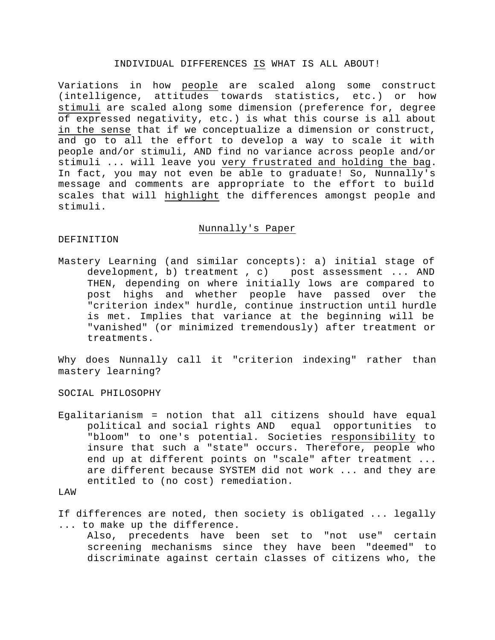### INDIVIDUAL DIFFERENCES IS WHAT IS ALL ABOUT!

Variations in how people are scaled along some construct (intelligence, attitudes towards statistics, etc.) or how stimuli are scaled along some dimension (preference for, degree of expressed negativity, etc.) is what this course is all about in the sense that if we conceptualize a dimension or construct, and go to all the effort to develop a way to scale it with people and/or stimuli, AND find no variance across people and/or stimuli ... will leave you very frustrated and holding the bag. In fact, you may not even be able to graduate! So, Nunnally's message and comments are appropriate to the effort to build scales that will highlight the differences amongst people and stimuli.

## Nunnally's Paper

# DEFINITION

Mastery Learning (and similar concepts): a) initial stage of development, b) treatment , c) post assessment ... AND THEN, depending on where initially lows are compared to post highs and whether people have passed over the "criterion index" hurdle, continue instruction until hurdle is met. Implies that variance at the beginning will be "vanished" (or minimized tremendously) after treatment or treatments.

Why does Nunnally call it "criterion indexing" rather than mastery learning?

SOCIAL PHILOSOPHY

Egalitarianism = notion that all citizens should have equal political and social rights AND equal opportunities to "bloom" to one's potential. Societies responsibility to insure that such a "state" occurs. Therefore, people who end up at different points on "scale" after treatment ... are different because SYSTEM did not work ... and they are entitled to (no cost) remediation.

LAW

If differences are noted, then society is obligated ... legally ... to make up the difference.

Also, precedents have been set to "not use" certain screening mechanisms since they have been "deemed" to discriminate against certain classes of citizens who, the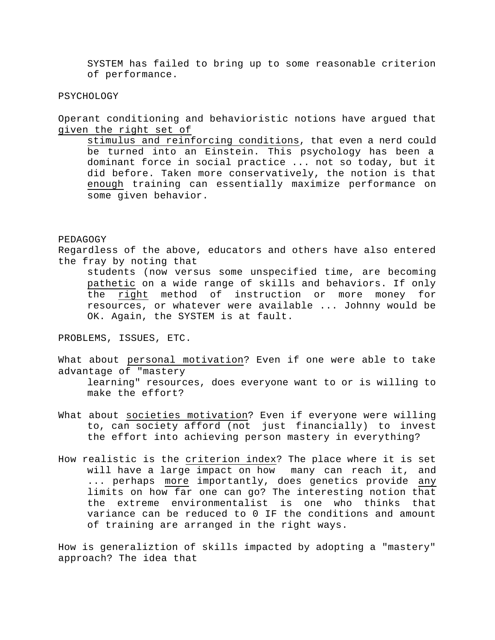SYSTEM has failed to bring up to some reasonable criterion of performance.

#### PSYCHOLOGY

Operant conditioning and behavioristic notions have argued that given the right set of

stimulus and reinforcing conditions, that even a nerd could be turned into an Einstein. This psychology has been a dominant force in social practice ... not so today, but it did before. Taken more conservatively, the notion is that enough training can essentially maximize performance on some given behavior.

#### PEDAGOGY

Regardless of the above, educators and others have also entered the fray by noting that

students (now versus some unspecified time, are becoming pathetic on a wide range of skills and behaviors. If only the right method of instruction or more money for resources, or whatever were available ... Johnny would be OK. Again, the SYSTEM is at fault.

PROBLEMS, ISSUES, ETC.

What about personal motivation? Even if one were able to take advantage of "mastery

learning" resources, does everyone want to or is willing to make the effort?

- What about societies motivation? Even if everyone were willing to, can society afford (not just financially) to invest the effort into achieving person mastery in everything?
- How realistic is the criterion index? The place where it is set will have a large impact on how many can reach it, and ... perhaps more importantly, does genetics provide any limits on how far one can go? The interesting notion that the extreme environmentalist is one who thinks that variance can be reduced to 0 IF the conditions and amount of training are arranged in the right ways.

How is generaliztion of skills impacted by adopting a "mastery" approach? The idea that